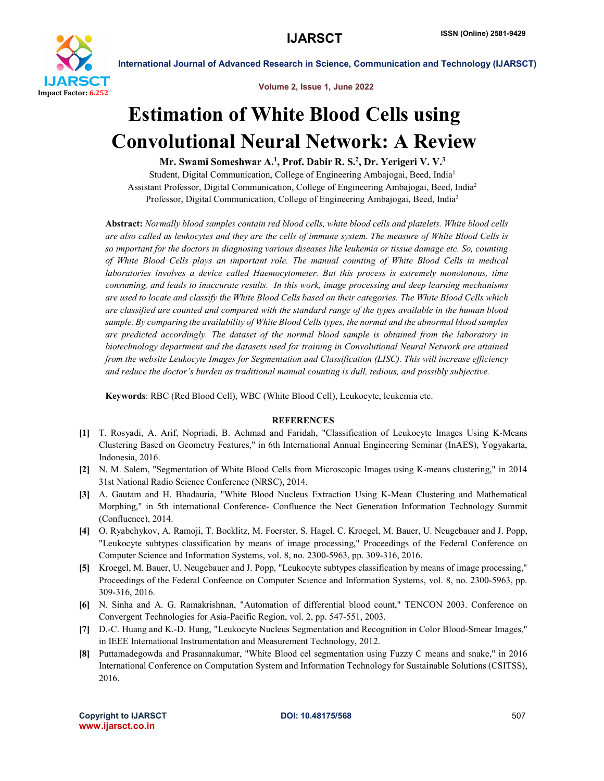

Volume 2, Issue 1, June 2022

International Journal of Advanced Research in Science, Communication and Technology (IJARSCT)

## Estimation of White Blood Cells using Convolutional Neural Network: A Review

Mr. Swami Someshwar A.<sup>1</sup>, Prof. Dabir R. S.<sup>2</sup>, Dr. Yerigeri V. V.<sup>3</sup>

Student, Digital Communication, College of Engineering Ambajogai, Beed, India1 Assistant Professor, Digital Communication, College of Engineering Ambajogai, Beed, India2 Professor, Digital Communication, College of Engineering Ambajogai, Beed, India3

Abstract: *Normally blood samples contain red blood cells, white blood cells and platelets. White blood cells are also called as leukocytes and they are the cells of immune system. The measure of White Blood Cells is so important for the doctors in diagnosing various diseases like leukemia or tissue damage etc. So, counting of White Blood Cells plays an important role. The manual counting of White Blood Cells in medical laboratories involves a device called Haemocytometer. But this process is extremely monotonous, time consuming, and leads to inaccurate results. In this work, image processing and deep learning mechanisms are used to locate and classify the White Blood Cells based on their categories. The White Blood Cells which are classified are counted and compared with the standard range of the types available in the human blood sample. By comparing the availability of White Blood Cells types, the normal and the abnormal blood samples are predicted accordingly. The dataset of the normal blood sample is obtained from the laboratory in biotechnology department and the datasets used for training in Convolutional Neural Network are attained from the website Leukocyte Images for Segmentation and Classification (LISC). This will increase efficiency and reduce the doctor's burden as traditional manual counting is dull, tedious, and possibly subjective.*

Keywords: RBC (Red Blood Cell), WBC (White Blood Cell), Leukocyte, leukemia etc.

## **REFERENCES**

- [1] T. Rosyadi, A. Arif, Nopriadi, B. Achmad and Faridah, "Classification of Leukocyte Images Using K-Means Clustering Based on Geometry Features," in 6th International Annual Engineering Seminar (InAES), Yogyakarta, Indonesia, 2016.
- [2] N. M. Salem, "Segmentation of White Blood Cells from Microscopic Images using K-means clustering," in 2014 31st National Radio Science Conference (NRSC), 2014.
- [3] A. Gautam and H. Bhadauria, "White Blood Nucleus Extraction Using K-Mean Clustering and Mathematical Morphing," in 5th international Conference- Confluence the Nect Generation Information Technology Summit (Confluence), 2014.
- [4] O. Ryabchykov, A. Ramoji, T. Bocklitz, M. Foerster, S. Hagel, C. Kroegel, M. Bauer, U. Neugebauer and J. Popp, "Leukocyte subtypes classification by means of image processing," Proceedings of the Federal Conference on Computer Science and Information Systems, vol. 8, no. 2300-5963, pp. 309-316, 2016.
- [5] Kroegel, M. Bauer, U. Neugebauer and J. Popp, "Leukocyte subtypes classification by means of image processing," Proceedings of the Federal Confeence on Computer Science and Information Systems, vol. 8, no. 2300-5963, pp. 309-316, 2016.
- [6] N. Sinha and A. G. Ramakrishnan, "Automation of differential blood count," TENCON 2003. Conference on Convergent Technologies for Asia-Pacific Region, vol. 2, pp. 547-551, 2003.
- [7] D.-C. Huang and K.-D. Hung, "Leukocyte Nucleus Segmentation and Recognition in Color Blood-Smear Images," in IEEE International Instrumentation and Measurement Technology, 2012.
- [8] Puttamadegowda and Prasannakumar, "White Blood cel segmentation using Fuzzy C means and snake," in 2016 International Conference on Computation System and Information Technology for Sustainable Solutions (CSITSS), 2016.